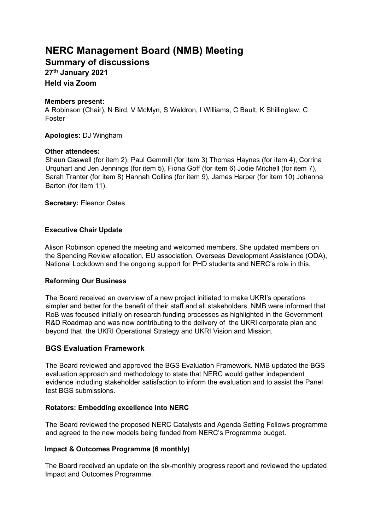# **NERC Management Board (NMB) Meeting**

**Summary of discussions** 

**27th January 2021** 

**Held via Zoom** 

## **Members present:**

A Robinson (Chair), N Bird, V McMyn, S Waldron, I Williams, C Bault, K Shillinglaw, C Foster

**Apologies:** DJ Wingham

## **Other attendees:**

Shaun Caswell (for item 2), Paul Gemmill (for item 3) Thomas Haynes (for item 4), Corrina Urquhart and Jen Jennings (for item 5), Fiona Goff (for item 6) Jodie Mitchell (for item 7), Sarah Tranter (for item 8) Hannah Collins (for item 9), James Harper (for item 10) Johanna Barton (for item 11).

**Secretary:** Eleanor Oates.

## **Executive Chair Update**

Alison Robinson opened the meeting and welcomed members. She updated members on the Spending Review allocation, EU association, Overseas Development Assistance (ODA), National Lockdown and the ongoing support for PHD students and NERC's role in this.

## **Reforming Our Business**

The Board received an overview of a new project initiated to make UKRI's operations simpler and better for the benefit of their staff and all stakeholders. NMB were informed that RoB was focused initially on research funding processes as highlighted in the Government R&D Roadmap and was now contributing to the delivery of the UKRI corporate plan and beyond that the UKRI Operational Strategy and UKRI Vision and Mission.

## **BGS Evaluation Framework**

The Board reviewed and approved the BGS Evaluation Framework. NMB updated the BGS evaluation approach and methodology to state that NERC would gather independent evidence including stakeholder satisfaction to inform the evaluation and to assist the Panel test BGS submissions.

## **Rotators: Embedding excellence into NERC**

The Board reviewed the proposed NERC Catalysts and Agenda Setting Fellows programme and agreed to the new models being funded from NERC's Programme budget.

### **Impact & Outcomes Programme (6 monthly)**

The Board received an update on the six-monthly progress report and reviewed the updated Impact and Outcomes Programme.